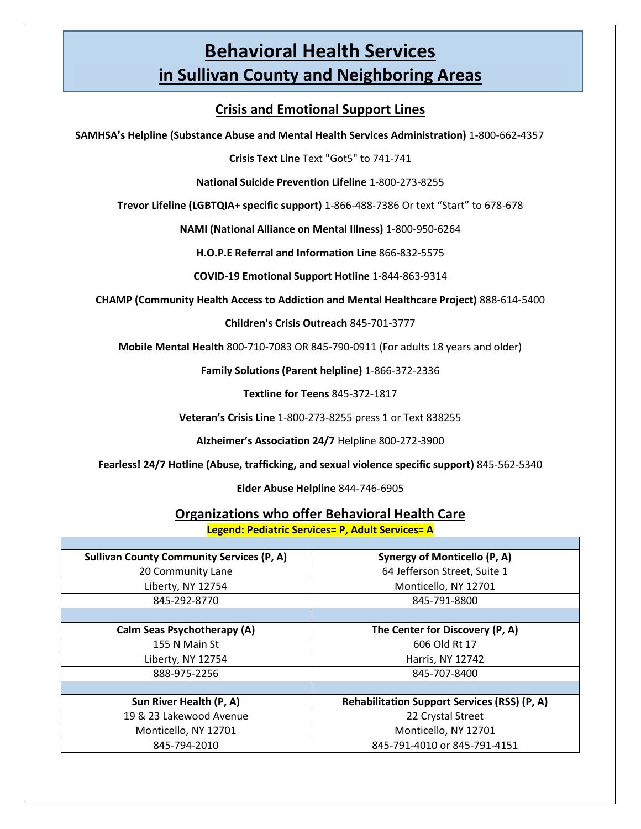## **Behavioral Health Services in Sullivan County and Neighboring Areas**

## **Crisis and Emotional Support Lines**

**SAMHSA's Helpline (Substance Abuse and Mental Health Services Administration)** 1-800-662-4357

**Crisis Text Line** Text "Got5" to 741-741

**National Suicide Prevention Lifeline** 1-800-273-8255

**Trevor Lifeline (LGBTQIA+ specific support)** 1-866-488-7386 Or text "Start" to 678-678

**NAMI (National Alliance on Mental Illness)** 1-800-950-6264

**H.O.P.E Referral and Information Line** 866-832-5575

**COVID-19 Emotional Support Hotline** 1-844-863-9314

**CHAMP (Community Health Access to Addiction and Mental Healthcare Project)** 888-614-5400

**Children's Crisis Outreach** 845-701-3777

**Mobile Mental Health** 800-710-7083 OR 845-790-0911 (For adults 18 years and older)

**Family Solutions (Parent helpline)** 1-866-372-2336

**Textline for Teens** 845-372-1817

**Veteran's Crisis Line** 1-800-273-8255 press 1 or Text 838255

**Alzheimer's Association 24/7** Helpline 800-272-3900

**Fearless! 24/7 Hotline (Abuse, trafficking, and sexual violence specific support)** 845-562-5340

**Elder Abuse Helpline** 844-746-6905

**Organizations who offer Behavioral Health Care Legend: Pediatric Services= P, Adult Services= A** 

| <b>Sullivan County Community Services (P, A)</b> | Synergy of Monticello (P, A)                        |
|--------------------------------------------------|-----------------------------------------------------|
| 20 Community Lane                                | 64 Jefferson Street, Suite 1                        |
| Liberty, NY 12754                                | Monticello, NY 12701                                |
| 845-292-8770                                     | 845-791-8800                                        |
|                                                  |                                                     |
| <b>Calm Seas Psychotherapy (A)</b>               | The Center for Discovery (P, A)                     |
| 155 N Main St                                    | 606 Old Rt 17                                       |
| Liberty, NY 12754                                | Harris, NY 12742                                    |
| 888-975-2256                                     | 845-707-8400                                        |
|                                                  |                                                     |
| Sun River Health (P, A)                          | <b>Rehabilitation Support Services (RSS) (P, A)</b> |
| 19 & 23 Lakewood Avenue                          | 22 Crystal Street                                   |
| Monticello, NY 12701                             | Monticello, NY 12701                                |
| 845-794-2010                                     | 845-791-4010 or 845-791-4151                        |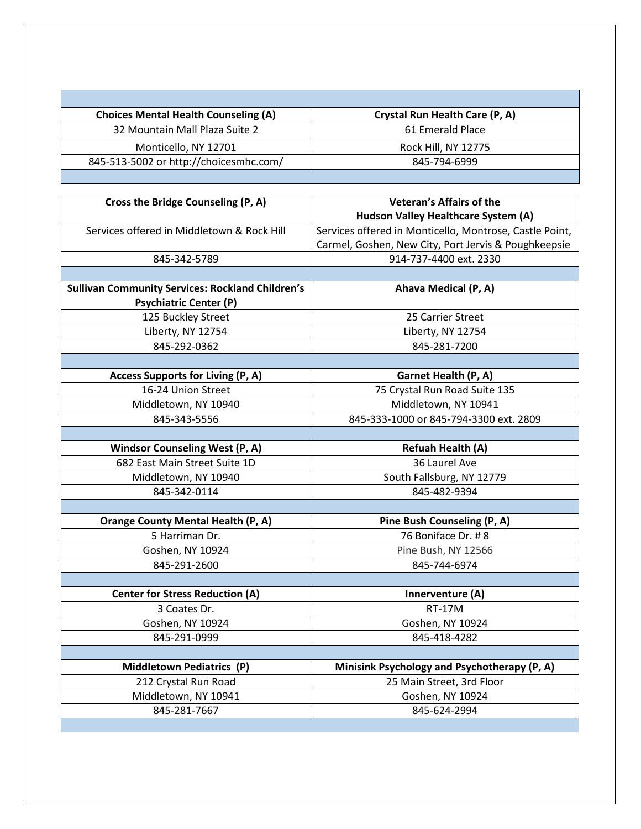| <b>Choices Mental Health Counseling (A)</b> | Crystal Run Health Care (P, A) |
|---------------------------------------------|--------------------------------|
| 32 Mountain Mall Plaza Suite 2              | 61 Emerald Place               |
| Monticello, NY 12701                        | Rock Hill, NY 12775            |
| 845-513-5002 or http://choicesmhc.com/      | 845-794-6999                   |

F

 $\overline{\phantom{a}}$ 

| Cross the Bridge Counseling (P, A)                      | <b>Veteran's Affairs of the</b>                         |
|---------------------------------------------------------|---------------------------------------------------------|
|                                                         | Hudson Valley Healthcare System (A)                     |
| Services offered in Middletown & Rock Hill              | Services offered in Monticello, Montrose, Castle Point, |
|                                                         | Carmel, Goshen, New City, Port Jervis & Poughkeepsie    |
| 845-342-5789                                            | 914-737-4400 ext. 2330                                  |
|                                                         |                                                         |
| <b>Sullivan Community Services: Rockland Children's</b> | Ahava Medical (P, A)                                    |
| <b>Psychiatric Center (P)</b>                           |                                                         |
| 125 Buckley Street                                      | 25 Carrier Street                                       |
| Liberty, NY 12754                                       | Liberty, NY 12754                                       |
| 845-292-0362                                            | 845-281-7200                                            |
|                                                         |                                                         |
| <b>Access Supports for Living (P, A)</b>                | Garnet Health (P, A)                                    |
| 16-24 Union Street                                      | 75 Crystal Run Road Suite 135                           |
| Middletown, NY 10940                                    | Middletown, NY 10941                                    |
| 845-343-5556                                            | 845-333-1000 or 845-794-3300 ext. 2809                  |
|                                                         |                                                         |
| <b>Windsor Counseling West (P, A)</b>                   | <b>Refuah Health (A)</b>                                |
| 682 East Main Street Suite 1D                           | 36 Laurel Ave                                           |
| Middletown, NY 10940                                    | South Fallsburg, NY 12779                               |
| 845-342-0114                                            | 845-482-9394                                            |
|                                                         |                                                         |
| <b>Orange County Mental Health (P, A)</b>               | Pine Bush Counseling (P, A)                             |
| 5 Harriman Dr.                                          | 76 Boniface Dr. #8                                      |
| Goshen, NY 10924                                        | Pine Bush, NY 12566                                     |
| 845-291-2600                                            | 845-744-6974                                            |
|                                                         |                                                         |
| <b>Center for Stress Reduction (A)</b>                  | Innerventure (A)                                        |
| 3 Coates Dr.                                            | <b>RT-17M</b>                                           |
| Goshen, NY 10924                                        | Goshen, NY 10924                                        |
| 845-291-0999                                            | 845-418-4282                                            |
|                                                         |                                                         |
| Middletown Pediatrics (P)                               | Minisink Psychology and Psychotherapy (P, A)            |
| 212 Crystal Run Road                                    | 25 Main Street, 3rd Floor                               |
| Middletown, NY 10941                                    | Goshen, NY 10924                                        |
| 845-281-7667                                            | 845-624-2994                                            |
|                                                         |                                                         |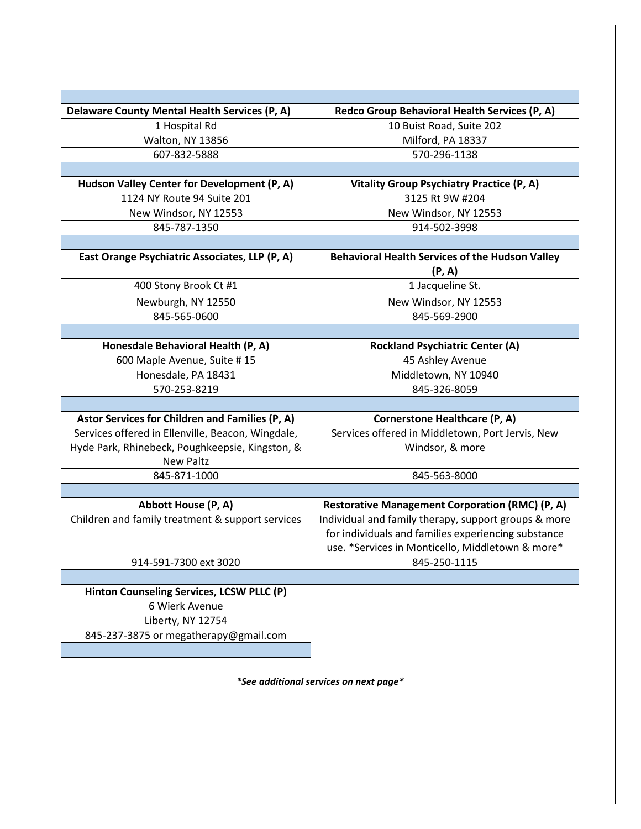| Delaware County Mental Health Services (P, A)     | Redco Group Behavioral Health Services (P, A)                    |
|---------------------------------------------------|------------------------------------------------------------------|
| 1 Hospital Rd                                     | 10 Buist Road, Suite 202                                         |
| Walton, NY 13856                                  | Milford, PA 18337                                                |
| 607-832-5888                                      | 570-296-1138                                                     |
|                                                   |                                                                  |
| Hudson Valley Center for Development (P, A)       | <b>Vitality Group Psychiatry Practice (P, A)</b>                 |
| 1124 NY Route 94 Suite 201                        | 3125 Rt 9W #204                                                  |
| New Windsor, NY 12553                             | New Windsor, NY 12553                                            |
| 845-787-1350                                      | 914-502-3998                                                     |
|                                                   |                                                                  |
| East Orange Psychiatric Associates, LLP (P, A)    | <b>Behavioral Health Services of the Hudson Valley</b><br>(P, A) |
| 400 Stony Brook Ct #1                             | 1 Jacqueline St.                                                 |
| Newburgh, NY 12550                                | New Windsor, NY 12553                                            |
| 845-565-0600                                      | 845-569-2900                                                     |
|                                                   |                                                                  |
| Honesdale Behavioral Health (P, A)                | <b>Rockland Psychiatric Center (A)</b>                           |
| 600 Maple Avenue, Suite #15                       | 45 Ashley Avenue                                                 |
| Honesdale, PA 18431                               | Middletown, NY 10940                                             |
| 570-253-8219                                      | 845-326-8059                                                     |
|                                                   |                                                                  |
| Astor Services for Children and Families (P, A)   | <b>Cornerstone Healthcare (P, A)</b>                             |
| Services offered in Ellenville, Beacon, Wingdale, | Services offered in Middletown, Port Jervis, New                 |
| Hyde Park, Rhinebeck, Poughkeepsie, Kingston, &   | Windsor, & more                                                  |
| <b>New Paltz</b>                                  |                                                                  |
| 845-871-1000                                      | 845-563-8000                                                     |
|                                                   |                                                                  |
| <b>Abbott House (P, A)</b>                        | <b>Restorative Management Corporation (RMC) (P, A)</b>           |
| Children and family treatment & support services  | Individual and family therapy, support groups & more             |
|                                                   | for individuals and families experiencing substance              |
|                                                   | use. *Services in Monticello, Middletown & more*                 |
| 914-591-7300 ext 3020                             | 845-250-1115                                                     |
|                                                   |                                                                  |
| Hinton Counseling Services, LCSW PLLC (P)         |                                                                  |
| 6 Wierk Avenue                                    |                                                                  |
| Liberty, NY 12754                                 |                                                                  |
| 845-237-3875 or megatherapy@gmail.com             |                                                                  |
|                                                   |                                                                  |

*\*See additional services on next page\**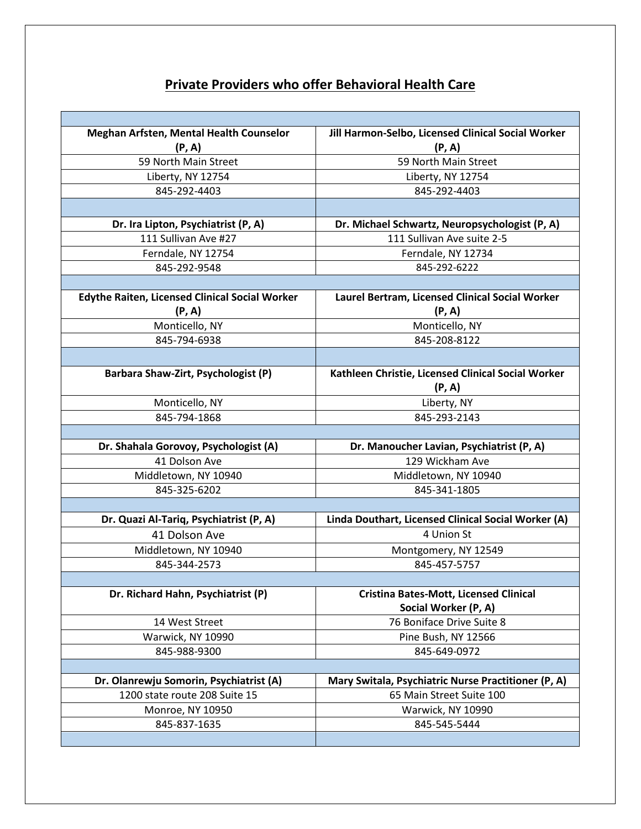## **Private Providers who offer Behavioral Health Care**

| Meghan Arfsten, Mental Health Counselor               | Jill Harmon-Selbo, Licensed Clinical Social Worker  |
|-------------------------------------------------------|-----------------------------------------------------|
| (P, A)                                                | (P, A)                                              |
| 59 North Main Street                                  | 59 North Main Street                                |
| Liberty, NY 12754                                     | Liberty, NY 12754                                   |
| 845-292-4403                                          | 845-292-4403                                        |
|                                                       |                                                     |
| Dr. Ira Lipton, Psychiatrist (P, A)                   | Dr. Michael Schwartz, Neuropsychologist (P, A)      |
| 111 Sullivan Ave #27                                  | 111 Sullivan Ave suite 2-5                          |
| Ferndale, NY 12754                                    | Ferndale, NY 12734                                  |
| 845-292-9548                                          | 845-292-6222                                        |
|                                                       |                                                     |
| <b>Edythe Raiten, Licensed Clinical Social Worker</b> | Laurel Bertram, Licensed Clinical Social Worker     |
| (P, A)                                                | (P, A)                                              |
| Monticello, NY                                        | Monticello, NY                                      |
| 845-794-6938                                          | 845-208-8122                                        |
|                                                       |                                                     |
| Barbara Shaw-Zirt, Psychologist (P)                   | Kathleen Christie, Licensed Clinical Social Worker  |
|                                                       | (P, A)                                              |
| Monticello, NY                                        | Liberty, NY                                         |
| 845-794-1868                                          | 845-293-2143                                        |
|                                                       |                                                     |
| Dr. Shahala Gorovoy, Psychologist (A)                 | Dr. Manoucher Lavian, Psychiatrist (P, A)           |
| 41 Dolson Ave                                         | 129 Wickham Ave                                     |
| Middletown, NY 10940                                  | Middletown, NY 10940                                |
| 845-325-6202                                          | 845-341-1805                                        |
|                                                       |                                                     |
| Dr. Quazi Al-Tariq, Psychiatrist (P, A)               | Linda Douthart, Licensed Clinical Social Worker (A) |
| 41 Dolson Ave                                         | 4 Union St                                          |
| Middletown, NY 10940                                  | Montgomery, NY 12549                                |
| 845-344-2573                                          | 845-457-5757                                        |
|                                                       |                                                     |
| Dr. Richard Hahn, Psychiatrist (P)                    | <b>Cristina Bates-Mott, Licensed Clinical</b>       |
|                                                       | Social Worker (P, A)                                |
| 14 West Street                                        | 76 Boniface Drive Suite 8                           |
| Warwick, NY 10990                                     | Pine Bush, NY 12566                                 |
| 845-988-9300                                          | 845-649-0972                                        |
|                                                       |                                                     |
| Dr. Olanrewju Somorin, Psychiatrist (A)               | Mary Switala, Psychiatric Nurse Practitioner (P, A) |
| 1200 state route 208 Suite 15                         | 65 Main Street Suite 100                            |
| Monroe, NY 10950                                      | Warwick, NY 10990                                   |
| 845-837-1635                                          | 845-545-5444                                        |
|                                                       |                                                     |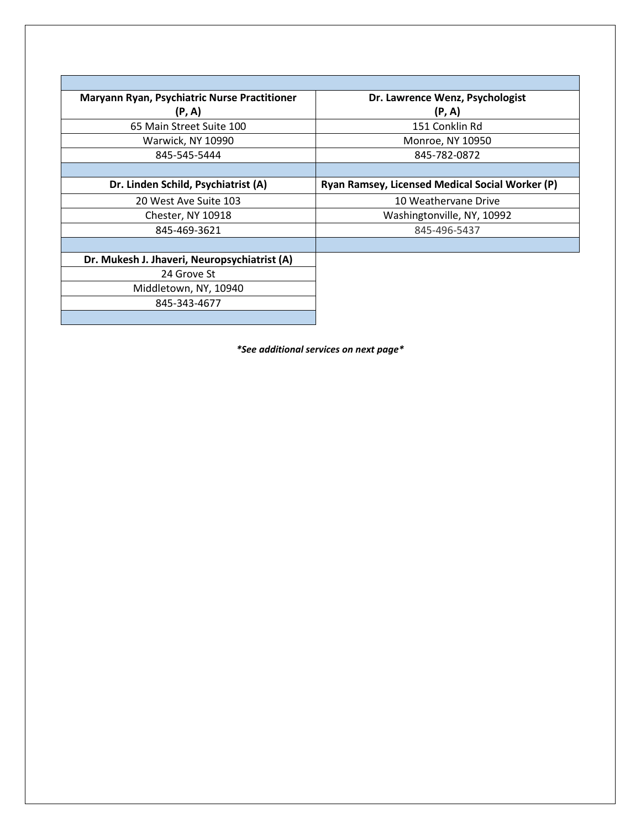| Maryann Ryan, Psychiatric Nurse Practitioner | Dr. Lawrence Wenz, Psychologist                 |
|----------------------------------------------|-------------------------------------------------|
| (P, A)                                       | (P, A)                                          |
| 65 Main Street Suite 100                     | 151 Conklin Rd                                  |
| Warwick, NY 10990                            | Monroe, NY 10950                                |
| 845-545-5444                                 | 845-782-0872                                    |
|                                              |                                                 |
| Dr. Linden Schild, Psychiatrist (A)          | Ryan Ramsey, Licensed Medical Social Worker (P) |
| 20 West Ave Suite 103                        | 10 Weathervane Drive                            |
| Chester, NY 10918                            | Washingtonville, NY, 10992                      |
| 845-469-3621                                 | 845-496-5437                                    |
|                                              |                                                 |
| Dr. Mukesh J. Jhaveri, Neuropsychiatrist (A) |                                                 |
| 24 Grove St                                  |                                                 |
| Middletown, NY, 10940                        |                                                 |
| 845-343-4677                                 |                                                 |
|                                              |                                                 |

*\*See additional services on next page\**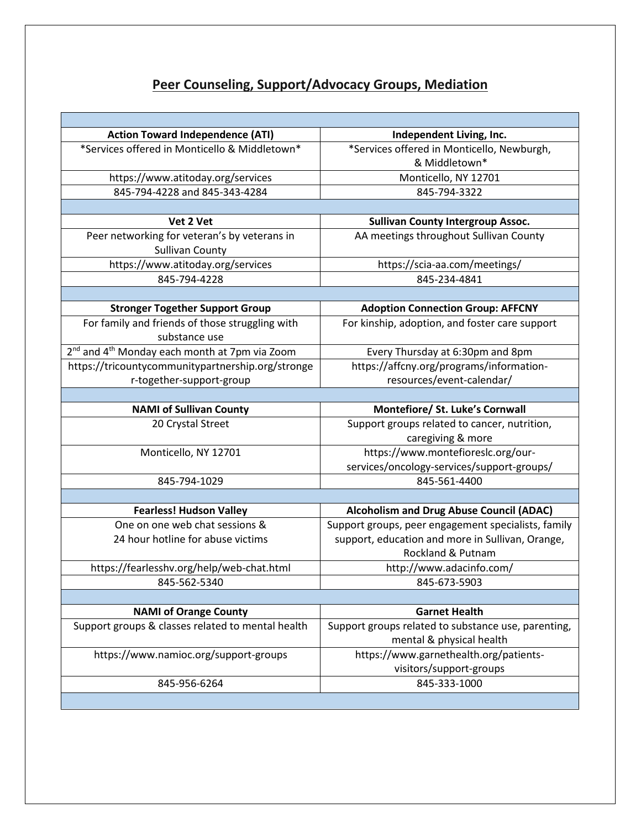## **Peer Counseling, Support/Advocacy Groups, Mediation**

| <b>Action Toward Independence (ATI)</b>                               | Independent Living, Inc.                            |
|-----------------------------------------------------------------------|-----------------------------------------------------|
| *Services offered in Monticello & Middletown*                         | *Services offered in Monticello, Newburgh,          |
|                                                                       | & Middletown*                                       |
| https://www.atitoday.org/services                                     | Monticello, NY 12701                                |
| 845-794-4228 and 845-343-4284                                         | 845-794-3322                                        |
|                                                                       |                                                     |
| Vet 2 Vet                                                             | <b>Sullivan County Intergroup Assoc.</b>            |
| Peer networking for veteran's by veterans in                          | AA meetings throughout Sullivan County              |
| <b>Sullivan County</b>                                                |                                                     |
| https://www.atitoday.org/services                                     | https://scia-aa.com/meetings/                       |
| 845-794-4228                                                          | 845-234-4841                                        |
|                                                                       |                                                     |
| <b>Stronger Together Support Group</b>                                | <b>Adoption Connection Group: AFFCNY</b>            |
| For family and friends of those struggling with                       | For kinship, adoption, and foster care support      |
| substance use                                                         |                                                     |
| 2 <sup>nd</sup> and 4 <sup>th</sup> Monday each month at 7pm via Zoom | Every Thursday at 6:30pm and 8pm                    |
| https://tricountycommunitypartnership.org/stronge                     | https://affcny.org/programs/information-            |
| r-together-support-group                                              | resources/event-calendar/                           |
|                                                                       |                                                     |
| <b>NAMI of Sullivan County</b>                                        | Montefiore/ St. Luke's Cornwall                     |
| 20 Crystal Street                                                     | Support groups related to cancer, nutrition,        |
|                                                                       | caregiving & more                                   |
| Monticello, NY 12701                                                  | https://www.montefioreslc.org/our-                  |
|                                                                       | services/oncology-services/support-groups/          |
| 845-794-1029                                                          | 845-561-4400                                        |
|                                                                       |                                                     |
| <b>Fearless! Hudson Valley</b>                                        | <b>Alcoholism and Drug Abuse Council (ADAC)</b>     |
| One on one web chat sessions &                                        | Support groups, peer engagement specialists, family |
| 24 hour hotline for abuse victims                                     | support, education and more in Sullivan, Orange,    |
|                                                                       | Rockland & Putnam                                   |
| https://fearlesshv.org/help/web-chat.html                             | http://www.adacinfo.com/                            |
| 845-562-5340                                                          | 845-673-5903                                        |
|                                                                       |                                                     |
| <b>NAMI of Orange County</b>                                          | <b>Garnet Health</b>                                |
| Support groups & classes related to mental health                     | Support groups related to substance use, parenting, |
|                                                                       | mental & physical health                            |
| https://www.namioc.org/support-groups                                 | https://www.garnethealth.org/patients-              |
|                                                                       | visitors/support-groups                             |
| 845-956-6264                                                          | 845-333-1000                                        |
|                                                                       |                                                     |